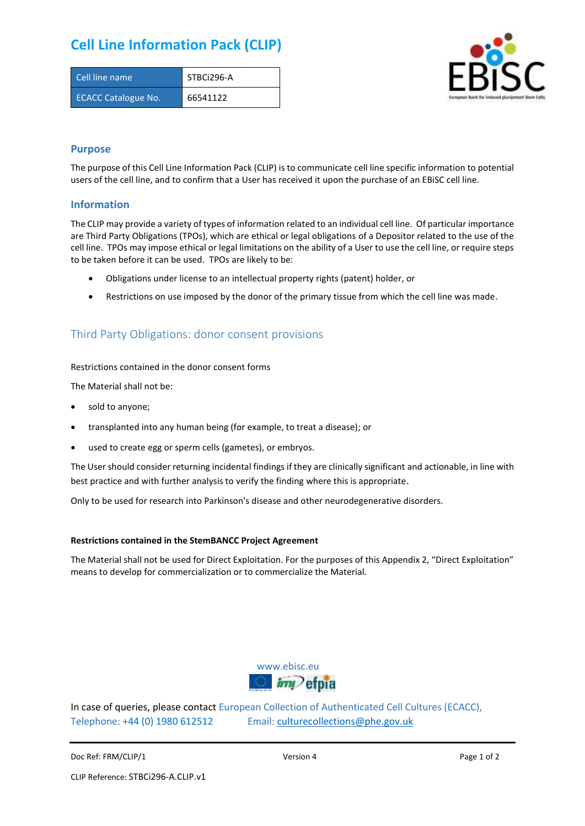# **Cell Line Information Pack (CLIP)**

| Cell line name             | STBCi296-A |
|----------------------------|------------|
| <b>ECACC Catalogue No.</b> | 66541122   |



### **Purpose**

The purpose of this Cell Line Information Pack (CLIP) is to communicate cell line specific information to potential users of the cell line, and to confirm that a User has received it upon the purchase of an EBiSC cell line.

### **Information**

The CLIP may provide a variety of types of information related to an individual cell line. Of particular importance are Third Party Obligations (TPOs), which are ethical or legal obligations of a Depositor related to the use of the cell line. TPOs may impose ethical or legal limitations on the ability of a User to use the cell line, or require steps to be taken before it can be used. TPOs are likely to be:

- Obligations under license to an intellectual property rights (patent) holder, or
- Restrictions on use imposed by the donor of the primary tissue from which the cell line was made.

## Third Party Obligations: donor consent provisions

#### Restrictions contained in the donor consent forms

The Material shall not be:

- sold to anyone;
- transplanted into any human being (for example, to treat a disease); or
- used to create egg or sperm cells (gametes), or embryos.

The User should consider returning incidental findings if they are clinically significant and actionable, in line with best practice and with further analysis to verify the finding where this is appropriate.

Only to be used for research into Parkinson's disease and other neurodegenerative disorders.

#### **Restrictions contained in the StemBANCC Project Agreement**

The Material shall not be used for Direct Exploitation. For the purposes of this Appendix 2, "Direct Exploitation" means to develop for commercialization or to commercialize the Material.



In case of queries, please contact European Collection of Authenticated Cell Cultures (ECACC), Telephone: +44 (0) 1980 612512 Email: [culturecollections@phe.gov.uk](mailto:culturecollections@phe.gov.uk)

Doc Ref: FRM/CLIP/1 **Docessition 2** Page 1 of 2